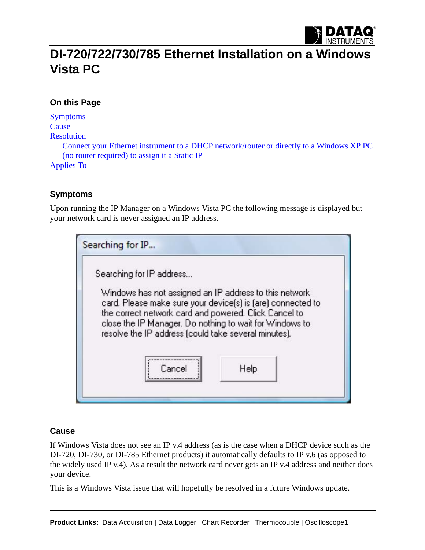

# **DI-720/722/730/785 Ethernet Installation on a Windows Vista PC**

## **On this Page**

[Symptoms](#page-0-0) **[Cause](#page-0-1)** [Resolution](#page-1-0) [Connect your Ethernet instrument to a DHCP network/router or directly to a Windows XP PC](#page-1-1)  [\(no router required\) to assign it a Static IP](#page-1-1) [Applies To](#page-1-2)

### <span id="page-0-0"></span>**Symptoms**

Upon running the IP Manager on a Windows Vista PC the following message is displayed but your network card is never assigned an IP address.

| Searching for IP address |                                                                                                                                                                          |
|--------------------------|--------------------------------------------------------------------------------------------------------------------------------------------------------------------------|
|                          | Windows has not assigned an IP address to this network<br>card. Please make sure your device(s) is (are) connected to                                                    |
|                          | the correct network card and powered. Click Cancel to<br>close the IP Manager. Do nothing to wait for Windows to<br>resolve the IP address (could take several minutes). |

#### <span id="page-0-1"></span>**Cause**

If Windows Vista does not see an IP v.4 address (as is the case when a DHCP device such as the DI-720, DI-730, or DI-785 Ethernet products) it automatically defaults to IP v.6 (as opposed to the widely used IP v.4). As a result the network card never gets an IP v.4 address and neither does your device.

This is a Windows Vista issue that will hopefully be resolved in a future Windows update.